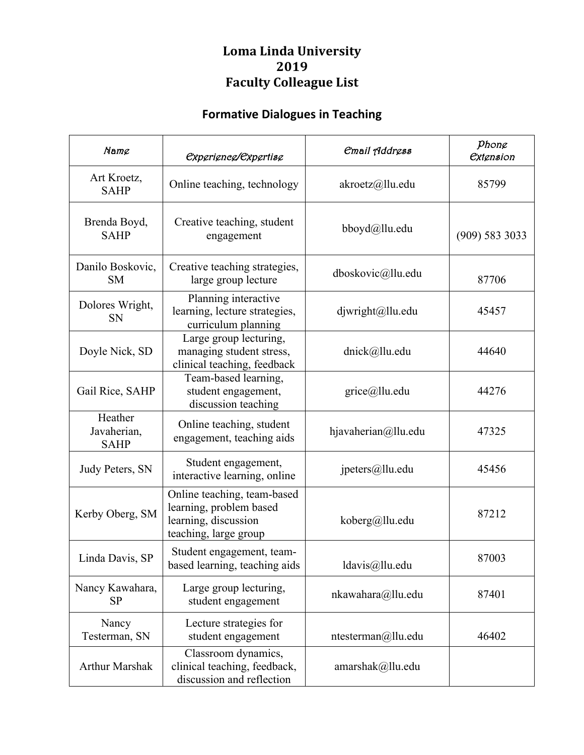## **Loma Linda University 2019 Faculty Colleague List**

## **Formative Dialogues in Teaching**

| Name                                  | <i><b>Experience/Expertise</b></i>                                                                      | <i><b>Email Address</b></i> | Phong<br><b><i><u>Extension</u></i></b> |
|---------------------------------------|---------------------------------------------------------------------------------------------------------|-----------------------------|-----------------------------------------|
| Art Kroetz,<br><b>SAHP</b>            | Online teaching, technology                                                                             | akroetz@llu.edu             | 85799                                   |
| Brenda Boyd,<br><b>SAHP</b>           | Creative teaching, student<br>engagement                                                                | bboyd@llu.edu               | (909) 583 3033                          |
| Danilo Boskovic,<br><b>SM</b>         | Creative teaching strategies,<br>large group lecture                                                    | dboskovic@llu.edu           | 87706                                   |
| Dolores Wright,<br><b>SN</b>          | Planning interactive<br>learning, lecture strategies,<br>curriculum planning                            | $d_j$ wright@llu.edu        | 45457                                   |
| Doyle Nick, SD                        | Large group lecturing,<br>managing student stress,<br>clinical teaching, feedback                       | dnick@llu.edu               | 44640                                   |
| Gail Rice, SAHP                       | Team-based learning,<br>student engagement,<br>discussion teaching                                      | $grice@]$ llu.edu           | 44276                                   |
| Heather<br>Javaherian,<br><b>SAHP</b> | Online teaching, student<br>engagement, teaching aids                                                   | hjavaherian@llu.edu         | 47325                                   |
| Judy Peters, SN                       | Student engagement,<br>interactive learning, online                                                     | jpeters@llu.edu             | 45456                                   |
| Kerby Oberg, SM                       | Online teaching, team-based<br>learning, problem based<br>learning, discussion<br>teaching, large group | koberg@llu.edu              | 87212                                   |
| Linda Davis, SP                       | Student engagement, team-<br>based learning, teaching aids                                              | ldavis@llu.edu              | 87003                                   |
| Nancy Kawahara,<br><b>SP</b>          | Large group lecturing,<br>student engagement                                                            | nkawahara@llu.edu           | 87401                                   |
| Nancy<br>Testerman, SN                | Lecture strategies for<br>student engagement                                                            | ntesterman@llu.edu          | 46402                                   |
| <b>Arthur Marshak</b>                 | Classroom dynamics,<br>clinical teaching, feedback,<br>discussion and reflection                        | amarshak@llu.edu            |                                         |